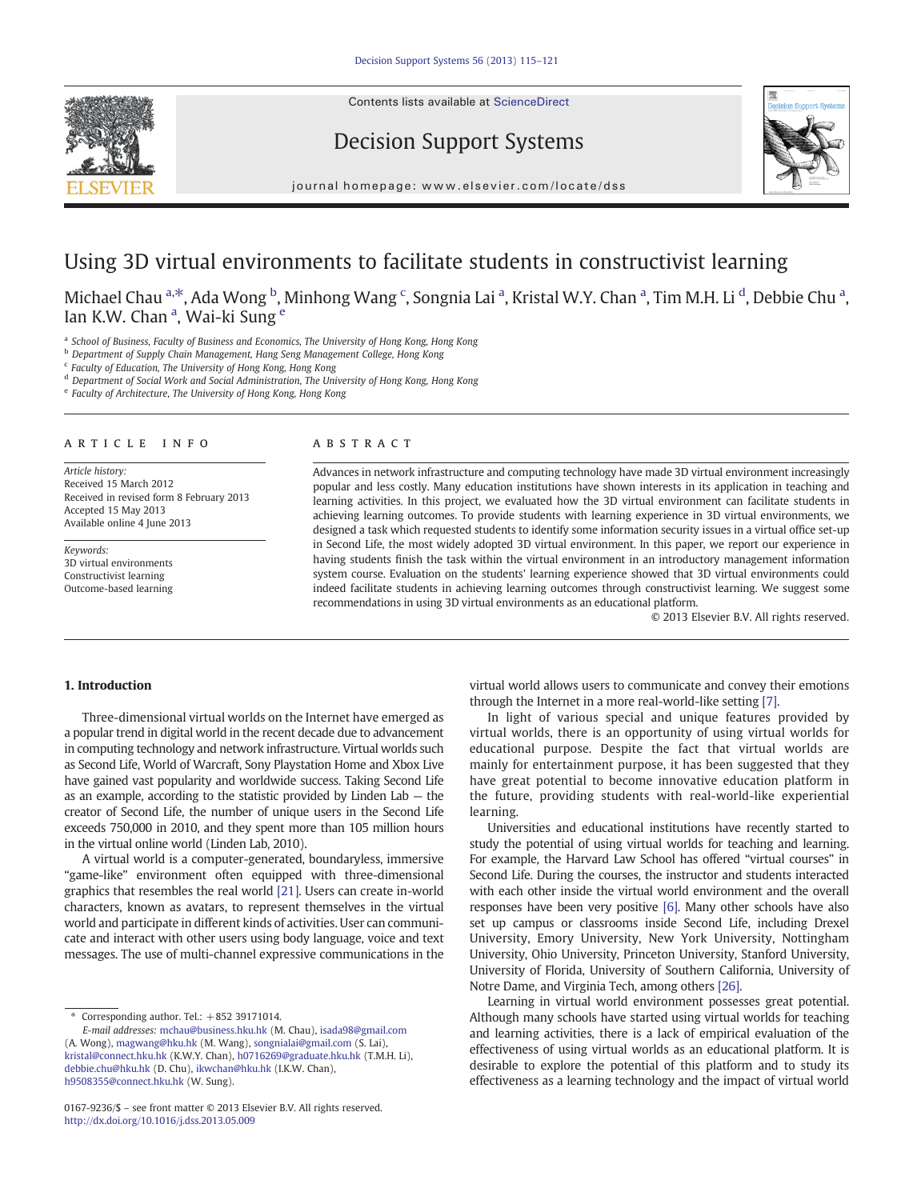Contents lists available at [ScienceDirect](http://www.sciencedirect.com/science/journal/01679236)



Decision Support Systems



journal homepage: www.elsevier.com/locate/dss

# Using 3D virtual environments to facilitate students in constructivist learning

Michael Chau <sup>a, $*$ </sup>, Ada Wong <sup>b</sup>, Minhong Wang <sup>c</sup>, Songnia Lai <sup>a</sup>, Kristal W.Y. Chan <sup>a</sup>, Tim M.H. Li <sup>d</sup>, Debbie Chu <sup>a</sup>, Ian K.W. Chan <sup>a</sup>, Wai-ki Sung <sup>e</sup>

a School of Business, Faculty of Business and Economics, The University of Hong Kong, Hong Kong

<sup>b</sup> Department of Supply Chain Management, Hang Seng Management College, Hong Kong

<sup>c</sup> Faculty of Education, The University of Hong Kong, Hong Kong

<sup>d</sup> Department of Social Work and Social Administration, The University of Hong Kong, Hong Kong

<sup>e</sup> Faculty of Architecture, The University of Hong Kong, Hong Kong

### article info abstract

Article history: Received 15 March 2012 Received in revised form 8 February 2013 Accepted 15 May 2013 Available online 4 June 2013

Keywords: 3D virtual environments Constructivist learning Outcome-based learning

Advances in network infrastructure and computing technology have made 3D virtual environment increasingly popular and less costly. Many education institutions have shown interests in its application in teaching and learning activities. In this project, we evaluated how the 3D virtual environment can facilitate students in achieving learning outcomes. To provide students with learning experience in 3D virtual environments, we designed a task which requested students to identify some information security issues in a virtual office set-up in Second Life, the most widely adopted 3D virtual environment. In this paper, we report our experience in having students finish the task within the virtual environment in an introductory management information system course. Evaluation on the students' learning experience showed that 3D virtual environments could indeed facilitate students in achieving learning outcomes through constructivist learning. We suggest some recommendations in using 3D virtual environments as an educational platform.

© 2013 Elsevier B.V. All rights reserved.

# 1. Introduction

Three-dimensional virtual worlds on the Internet have emerged as a popular trend in digital world in the recent decade due to advancement in computing technology and network infrastructure. Virtual worlds such as Second Life, World of Warcraft, Sony Playstation Home and Xbox Live have gained vast popularity and worldwide success. Taking Second Life as an example, according to the statistic provided by Linden Lab  $-$  the creator of Second Life, the number of unique users in the Second Life exceeds 750,000 in 2010, and they spent more than 105 million hours in the virtual online world (Linden Lab, 2010).

A virtual world is a computer-generated, boundaryless, immersive "game-like" environment often equipped with three-dimensional graphics that resembles the real world [\[21\].](#page-5-0) Users can create in-world characters, known as avatars, to represent themselves in the virtual world and participate in different kinds of activities. User can communicate and interact with other users using body language, voice and text messages. The use of multi-channel expressive communications in the

virtual world allows users to communicate and convey their emotions through the Internet in a more real-world-like setting [\[7\].](#page-5-0)

In light of various special and unique features provided by virtual worlds, there is an opportunity of using virtual worlds for educational purpose. Despite the fact that virtual worlds are mainly for entertainment purpose, it has been suggested that they have great potential to become innovative education platform in the future, providing students with real-world-like experiential learning.

Universities and educational institutions have recently started to study the potential of using virtual worlds for teaching and learning. For example, the Harvard Law School has offered "virtual courses" in Second Life. During the courses, the instructor and students interacted with each other inside the virtual world environment and the overall responses have been very positive [\[6\]](#page-5-0). Many other schools have also set up campus or classrooms inside Second Life, including Drexel University, Emory University, New York University, Nottingham University, Ohio University, Princeton University, Stanford University, University of Florida, University of Southern California, University of Notre Dame, and Virginia Tech, among others [\[26\]](#page-5-0).

Learning in virtual world environment possesses great potential. Although many schools have started using virtual worlds for teaching and learning activities, there is a lack of empirical evaluation of the effectiveness of using virtual worlds as an educational platform. It is desirable to explore the potential of this platform and to study its effectiveness as a learning technology and the impact of virtual world

Corresponding author. Tel.:  $+852$  39171014.

E-mail addresses: [mchau@business.hku.hk](mailto:mchau@business.hku.hk) (M. Chau), [isada98@gmail.com](mailto:isada98@gmail.com) (A. Wong), [magwang@hku.hk](mailto:magwang@hku.hk) (M. Wang), [songnialai@gmail.com](mailto:songnialai@gmail.com) (S. Lai),

[kristal@connect.hku.hk](mailto:kristal@connect.hku.hk) (K.W.Y. Chan), [h0716269@graduate.hku.hk](mailto:h0716269@graduate.hku.hk) (T.M.H. Li), [debbie.chu@hku.hk](mailto:debbie.chu@hku.hk) (D. Chu), [ikwchan@hku.hk](mailto:ikwchan@hku.hk) (I.K.W. Chan), [h9508355@connect.hku.hk](mailto:h9508355@connect.hku.hk) (W. Sung).

<sup>0167-9236/\$</sup> – see front matter © 2013 Elsevier B.V. All rights reserved. <http://dx.doi.org/10.1016/j.dss.2013.05.009>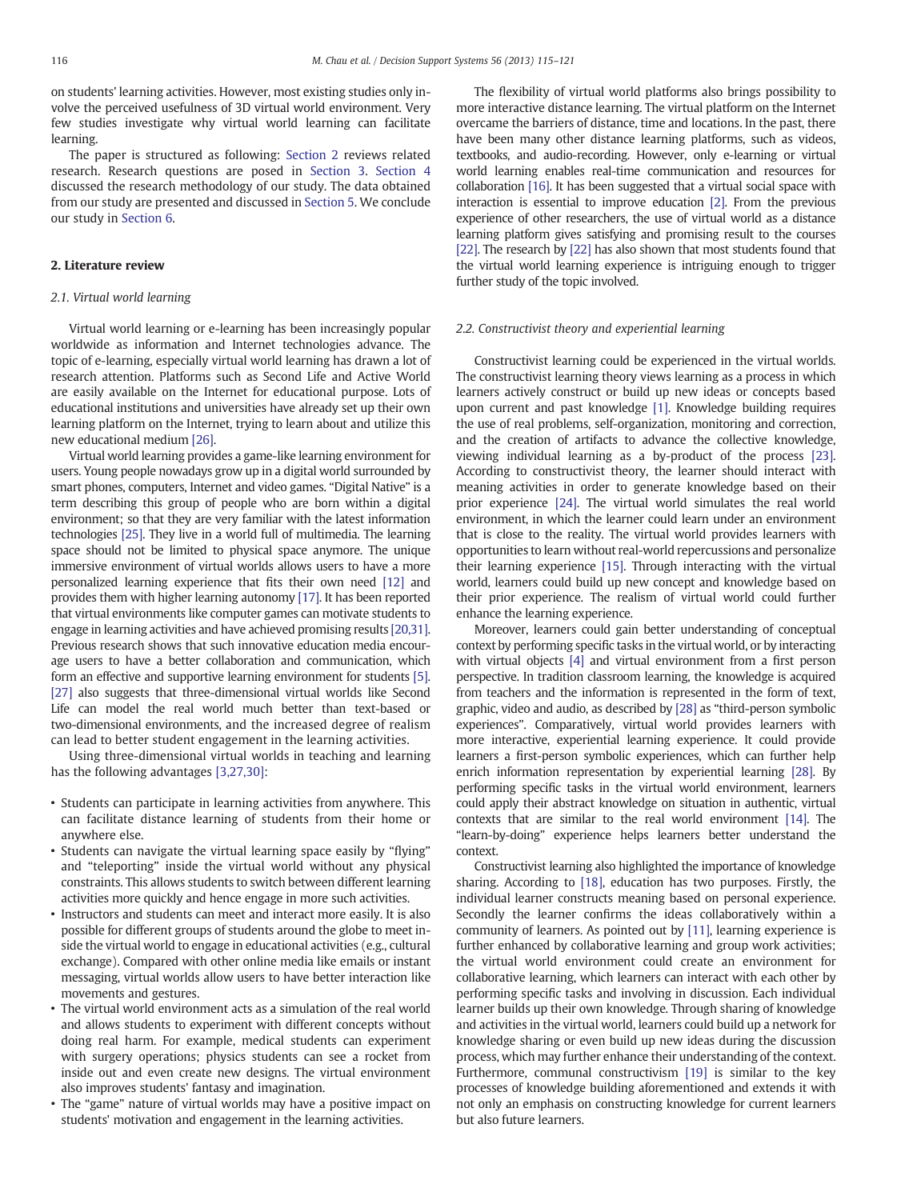on students' learning activities. However, most existing studies only involve the perceived usefulness of 3D virtual world environment. Very few studies investigate why virtual world learning can facilitate learning.

The paper is structured as following: Section 2 reviews related research. Research questions are posed in [Section 3](#page-2-0). [Section 4](#page-2-0) discussed the research methodology of our study. The data obtained from our study are presented and discussed in [Section 5](#page-2-0). We conclude our study in [Section 6](#page-4-0).

#### 2. Literature review

# 2.1. Virtual world learning

Virtual world learning or e-learning has been increasingly popular worldwide as information and Internet technologies advance. The topic of e-learning, especially virtual world learning has drawn a lot of research attention. Platforms such as Second Life and Active World are easily available on the Internet for educational purpose. Lots of educational institutions and universities have already set up their own learning platform on the Internet, trying to learn about and utilize this new educational medium [\[26\]](#page-5-0).

Virtual world learning provides a game-like learning environment for users. Young people nowadays grow up in a digital world surrounded by smart phones, computers, Internet and video games. "Digital Native" is a term describing this group of people who are born within a digital environment; so that they are very familiar with the latest information technologies [\[25\]](#page-5-0). They live in a world full of multimedia. The learning space should not be limited to physical space anymore. The unique immersive environment of virtual worlds allows users to have a more personalized learning experience that fits their own need [\[12\]](#page-5-0) and provides them with higher learning autonomy [\[17\]](#page-5-0). It has been reported that virtual environments like computer games can motivate students to engage in learning activities and have achieved promising results [\[20,31\].](#page-5-0) Previous research shows that such innovative education media encourage users to have a better collaboration and communication, which form an effective and supportive learning environment for students [\[5\].](#page-5-0) [\[27\]](#page-5-0) also suggests that three-dimensional virtual worlds like Second Life can model the real world much better than text-based or two-dimensional environments, and the increased degree of realism can lead to better student engagement in the learning activities.

Using three-dimensional virtual worlds in teaching and learning has the following advantages [\[3,27,30\]:](#page-5-0)

- Students can participate in learning activities from anywhere. This can facilitate distance learning of students from their home or anywhere else.
- Students can navigate the virtual learning space easily by "flying" and "teleporting" inside the virtual world without any physical constraints. This allows students to switch between different learning activities more quickly and hence engage in more such activities.
- Instructors and students can meet and interact more easily. It is also possible for different groups of students around the globe to meet inside the virtual world to engage in educational activities (e.g., cultural exchange). Compared with other online media like emails or instant messaging, virtual worlds allow users to have better interaction like movements and gestures.
- The virtual world environment acts as a simulation of the real world and allows students to experiment with different concepts without doing real harm. For example, medical students can experiment with surgery operations; physics students can see a rocket from inside out and even create new designs. The virtual environment also improves students' fantasy and imagination.
- The "game" nature of virtual worlds may have a positive impact on students' motivation and engagement in the learning activities.

The flexibility of virtual world platforms also brings possibility to more interactive distance learning. The virtual platform on the Internet overcame the barriers of distance, time and locations. In the past, there have been many other distance learning platforms, such as videos, textbooks, and audio-recording. However, only e-learning or virtual world learning enables real-time communication and resources for collaboration [\[16\]](#page-5-0). It has been suggested that a virtual social space with interaction is essential to improve education [\[2\]](#page-5-0). From the previous experience of other researchers, the use of virtual world as a distance learning platform gives satisfying and promising result to the courses [\[22\].](#page-5-0) The research by [\[22\]](#page-5-0) has also shown that most students found that the virtual world learning experience is intriguing enough to trigger further study of the topic involved.

### 2.2. Constructivist theory and experiential learning

Constructivist learning could be experienced in the virtual worlds. The constructivist learning theory views learning as a process in which learners actively construct or build up new ideas or concepts based upon current and past knowledge [\[1\].](#page-5-0) Knowledge building requires the use of real problems, self-organization, monitoring and correction, and the creation of artifacts to advance the collective knowledge, viewing individual learning as a by-product of the process [\[23\].](#page-5-0) According to constructivist theory, the learner should interact with meaning activities in order to generate knowledge based on their prior experience [\[24\]](#page-5-0). The virtual world simulates the real world environment, in which the learner could learn under an environment that is close to the reality. The virtual world provides learners with opportunities to learn without real-world repercussions and personalize their learning experience [\[15\]](#page-5-0). Through interacting with the virtual world, learners could build up new concept and knowledge based on their prior experience. The realism of virtual world could further enhance the learning experience.

Moreover, learners could gain better understanding of conceptual context by performing specific tasks in the virtual world, or by interacting with virtual objects [\[4\]](#page-5-0) and virtual environment from a first person perspective. In tradition classroom learning, the knowledge is acquired from teachers and the information is represented in the form of text, graphic, video and audio, as described by [\[28\]](#page-5-0) as "third-person symbolic experiences". Comparatively, virtual world provides learners with more interactive, experiential learning experience. It could provide learners a first-person symbolic experiences, which can further help enrich information representation by experiential learning [\[28\]](#page-5-0). By performing specific tasks in the virtual world environment, learners could apply their abstract knowledge on situation in authentic, virtual contexts that are similar to the real world environment [\[14\]](#page-5-0). The "learn-by-doing" experience helps learners better understand the context.

Constructivist learning also highlighted the importance of knowledge sharing. According to [\[18\]](#page-5-0), education has two purposes. Firstly, the individual learner constructs meaning based on personal experience. Secondly the learner confirms the ideas collaboratively within a community of learners. As pointed out by [\[11\]](#page-5-0), learning experience is further enhanced by collaborative learning and group work activities; the virtual world environment could create an environment for collaborative learning, which learners can interact with each other by performing specific tasks and involving in discussion. Each individual learner builds up their own knowledge. Through sharing of knowledge and activities in the virtual world, learners could build up a network for knowledge sharing or even build up new ideas during the discussion process, which may further enhance their understanding of the context. Furthermore, communal constructivism [\[19\]](#page-5-0) is similar to the key processes of knowledge building aforementioned and extends it with not only an emphasis on constructing knowledge for current learners but also future learners.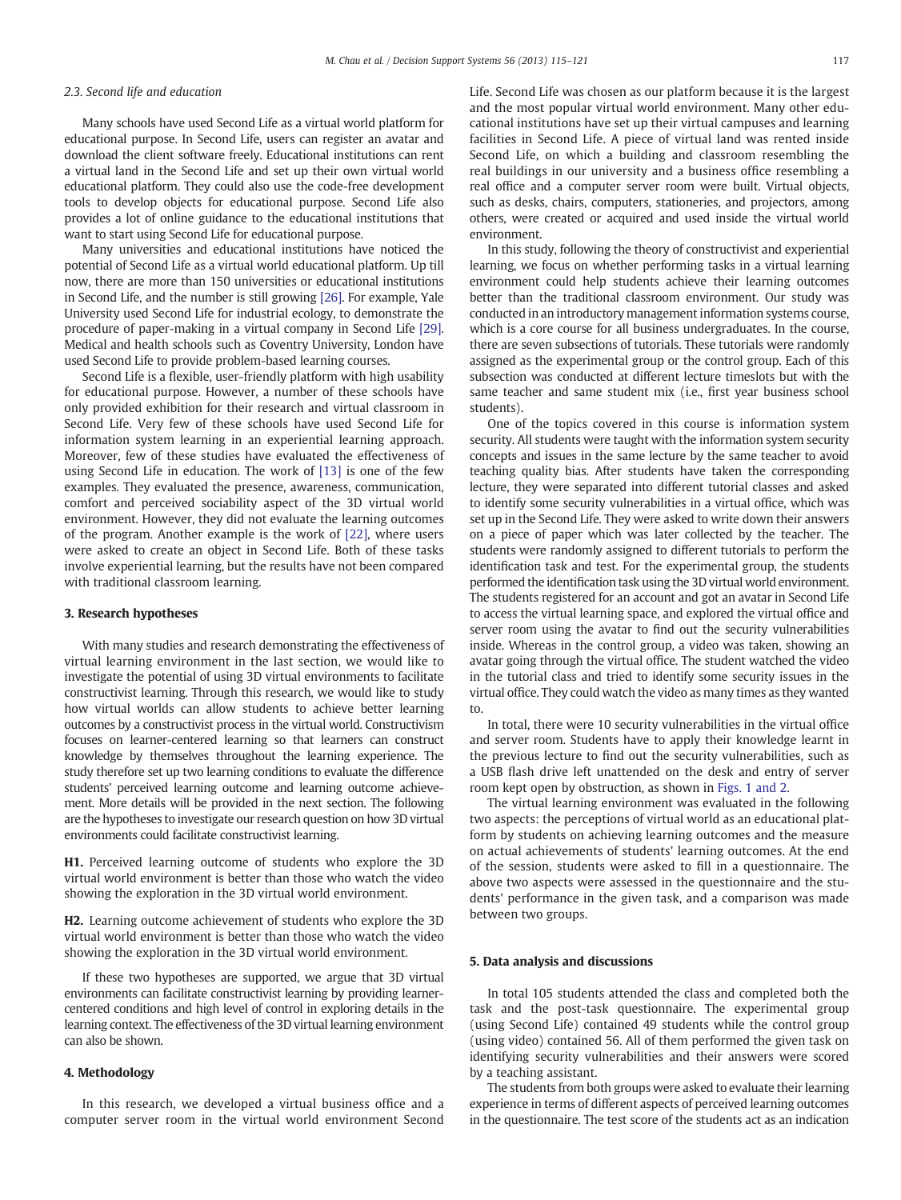# <span id="page-2-0"></span>2.3. Second life and education

Many schools have used Second Life as a virtual world platform for educational purpose. In Second Life, users can register an avatar and download the client software freely. Educational institutions can rent a virtual land in the Second Life and set up their own virtual world educational platform. They could also use the code-free development tools to develop objects for educational purpose. Second Life also provides a lot of online guidance to the educational institutions that want to start using Second Life for educational purpose.

Many universities and educational institutions have noticed the potential of Second Life as a virtual world educational platform. Up till now, there are more than 150 universities or educational institutions in Second Life, and the number is still growing [\[26\]](#page-5-0). For example, Yale University used Second Life for industrial ecology, to demonstrate the procedure of paper-making in a virtual company in Second Life [\[29\].](#page-5-0) Medical and health schools such as Coventry University, London have used Second Life to provide problem-based learning courses.

Second Life is a flexible, user-friendly platform with high usability for educational purpose. However, a number of these schools have only provided exhibition for their research and virtual classroom in Second Life. Very few of these schools have used Second Life for information system learning in an experiential learning approach. Moreover, few of these studies have evaluated the effectiveness of using Second Life in education. The work of [\[13\]](#page-5-0) is one of the few examples. They evaluated the presence, awareness, communication, comfort and perceived sociability aspect of the 3D virtual world environment. However, they did not evaluate the learning outcomes of the program. Another example is the work of [\[22\],](#page-5-0) where users were asked to create an object in Second Life. Both of these tasks involve experiential learning, but the results have not been compared with traditional classroom learning.

### 3. Research hypotheses

With many studies and research demonstrating the effectiveness of virtual learning environment in the last section, we would like to investigate the potential of using 3D virtual environments to facilitate constructivist learning. Through this research, we would like to study how virtual worlds can allow students to achieve better learning outcomes by a constructivist process in the virtual world. Constructivism focuses on learner-centered learning so that learners can construct knowledge by themselves throughout the learning experience. The study therefore set up two learning conditions to evaluate the difference students' perceived learning outcome and learning outcome achievement. More details will be provided in the next section. The following are the hypotheses to investigate our research question on how 3D virtual environments could facilitate constructivist learning.

H1. Perceived learning outcome of students who explore the 3D virtual world environment is better than those who watch the video showing the exploration in the 3D virtual world environment.

H2. Learning outcome achievement of students who explore the 3D virtual world environment is better than those who watch the video showing the exploration in the 3D virtual world environment.

If these two hypotheses are supported, we argue that 3D virtual environments can facilitate constructivist learning by providing learnercentered conditions and high level of control in exploring details in the learning context. The effectiveness of the 3D virtual learning environment can also be shown.

# 4. Methodology

In this research, we developed a virtual business office and a computer server room in the virtual world environment Second Life. Second Life was chosen as our platform because it is the largest and the most popular virtual world environment. Many other educational institutions have set up their virtual campuses and learning facilities in Second Life. A piece of virtual land was rented inside Second Life, on which a building and classroom resembling the real buildings in our university and a business office resembling a real office and a computer server room were built. Virtual objects, such as desks, chairs, computers, stationeries, and projectors, among others, were created or acquired and used inside the virtual world environment.

In this study, following the theory of constructivist and experiential learning, we focus on whether performing tasks in a virtual learning environment could help students achieve their learning outcomes better than the traditional classroom environment. Our study was conducted in an introductory management information systems course, which is a core course for all business undergraduates. In the course, there are seven subsections of tutorials. These tutorials were randomly assigned as the experimental group or the control group. Each of this subsection was conducted at different lecture timeslots but with the same teacher and same student mix (i.e., first year business school students).

One of the topics covered in this course is information system security. All students were taught with the information system security concepts and issues in the same lecture by the same teacher to avoid teaching quality bias. After students have taken the corresponding lecture, they were separated into different tutorial classes and asked to identify some security vulnerabilities in a virtual office, which was set up in the Second Life. They were asked to write down their answers on a piece of paper which was later collected by the teacher. The students were randomly assigned to different tutorials to perform the identification task and test. For the experimental group, the students performed the identification task using the 3D virtual world environment. The students registered for an account and got an avatar in Second Life to access the virtual learning space, and explored the virtual office and server room using the avatar to find out the security vulnerabilities inside. Whereas in the control group, a video was taken, showing an avatar going through the virtual office. The student watched the video in the tutorial class and tried to identify some security issues in the virtual office. They could watch the video as many times as they wanted to.

In total, there were 10 security vulnerabilities in the virtual office and server room. Students have to apply their knowledge learnt in the previous lecture to find out the security vulnerabilities, such as a USB flash drive left unattended on the desk and entry of server room kept open by obstruction, as shown in [Figs. 1 and 2](#page-3-0).

The virtual learning environment was evaluated in the following two aspects: the perceptions of virtual world as an educational platform by students on achieving learning outcomes and the measure on actual achievements of students' learning outcomes. At the end of the session, students were asked to fill in a questionnaire. The above two aspects were assessed in the questionnaire and the students' performance in the given task, and a comparison was made between two groups.

#### 5. Data analysis and discussions

In total 105 students attended the class and completed both the task and the post-task questionnaire. The experimental group (using Second Life) contained 49 students while the control group (using video) contained 56. All of them performed the given task on identifying security vulnerabilities and their answers were scored by a teaching assistant.

The students from both groups were asked to evaluate their learning experience in terms of different aspects of perceived learning outcomes in the questionnaire. The test score of the students act as an indication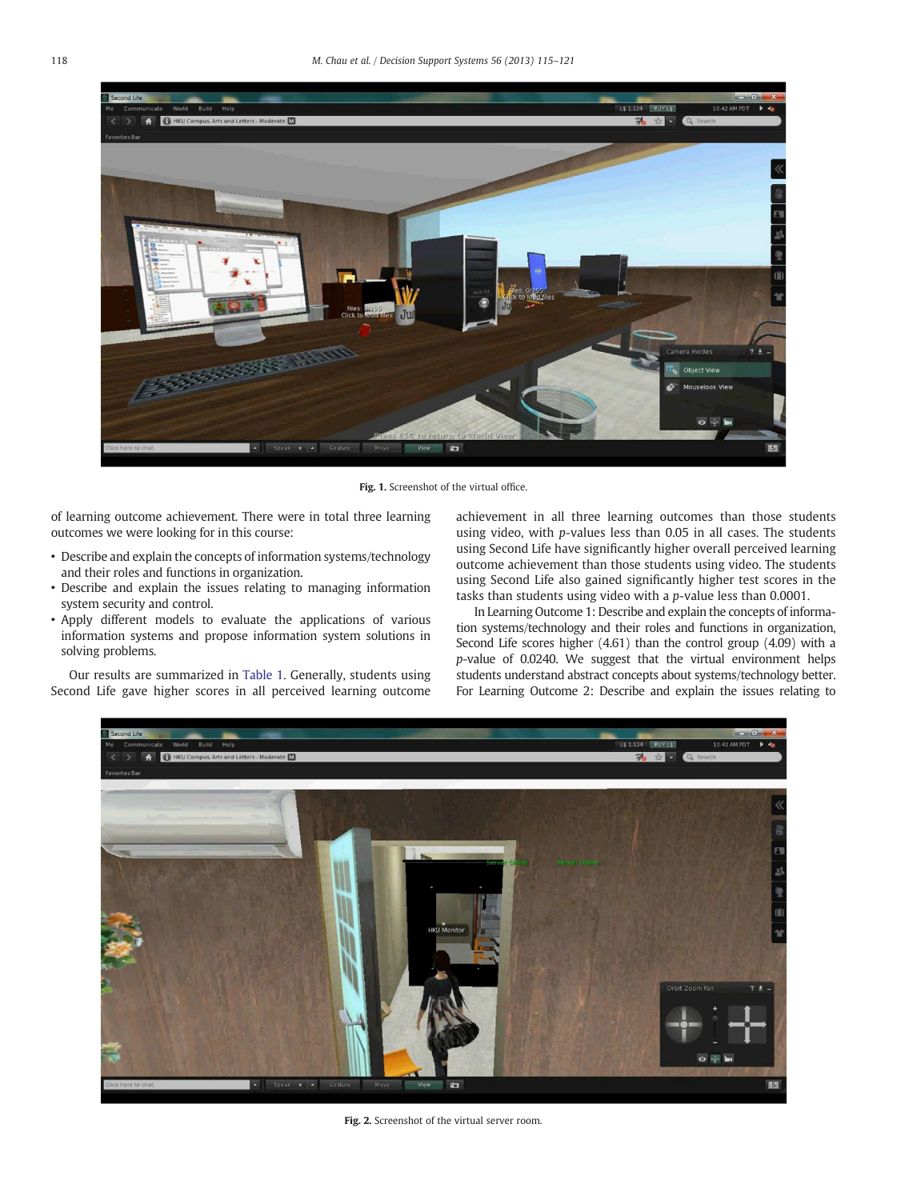<span id="page-3-0"></span>

Fig. 1. Screenshot of the virtual office.

of learning outcome achievement. There were in total three learning outcomes we were looking for in this course:

- Describe and explain the concepts of information systems/technology and their roles and functions in organization.
- Describe and explain the issues relating to managing information system security and control.
- Apply different models to evaluate the applications of various information systems and propose information system solutions in solving problems.

Our results are summarized in [Table 1](#page-4-0). Generally, students using Second Life gave higher scores in all perceived learning outcome

achievement in all three learning outcomes than those students using video, with p-values less than 0.05 in all cases. The students using Second Life have significantly higher overall perceived learning outcome achievement than those students using video. The students using Second Life also gained significantly higher test scores in the tasks than students using video with a p-value less than 0.0001.

In Learning Outcome 1: Describe and explain the concepts of information systems/technology and their roles and functions in organization, Second Life scores higher (4.61) than the control group (4.09) with a p-value of 0.0240. We suggest that the virtual environment helps students understand abstract concepts about systems/technology better. For Learning Outcome 2: Describe and explain the issues relating to



Fig. 2. Screenshot of the virtual server room.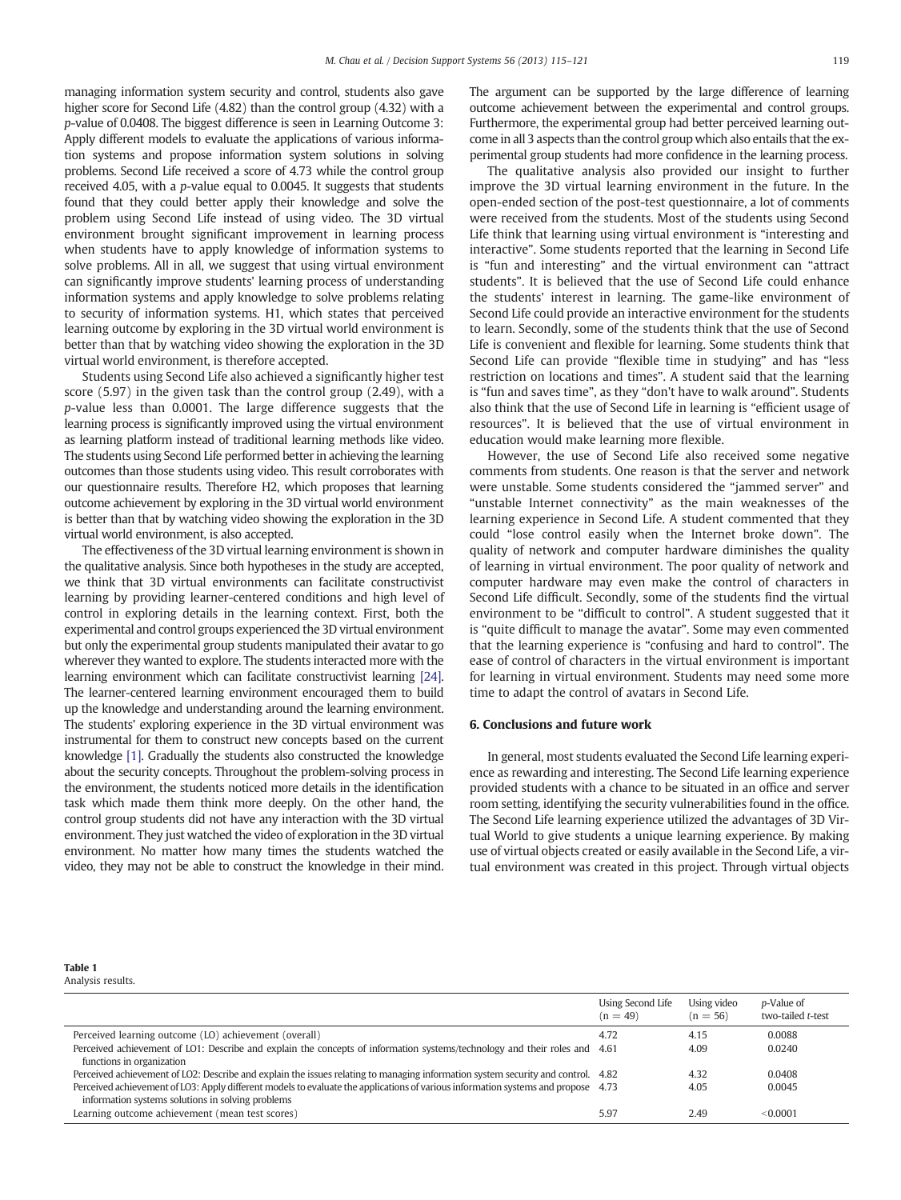<span id="page-4-0"></span>managing information system security and control, students also gave higher score for Second Life (4.82) than the control group (4.32) with a p-value of 0.0408. The biggest difference is seen in Learning Outcome 3: Apply different models to evaluate the applications of various information systems and propose information system solutions in solving problems. Second Life received a score of 4.73 while the control group received 4.05, with a p-value equal to 0.0045. It suggests that students found that they could better apply their knowledge and solve the problem using Second Life instead of using video. The 3D virtual environment brought significant improvement in learning process when students have to apply knowledge of information systems to solve problems. All in all, we suggest that using virtual environment can significantly improve students' learning process of understanding information systems and apply knowledge to solve problems relating to security of information systems. H1, which states that perceived learning outcome by exploring in the 3D virtual world environment is better than that by watching video showing the exploration in the 3D virtual world environment, is therefore accepted.

Students using Second Life also achieved a significantly higher test score (5.97) in the given task than the control group (2.49), with a p-value less than 0.0001. The large difference suggests that the learning process is significantly improved using the virtual environment as learning platform instead of traditional learning methods like video. The students using Second Life performed better in achieving the learning outcomes than those students using video. This result corroborates with our questionnaire results. Therefore H2, which proposes that learning outcome achievement by exploring in the 3D virtual world environment is better than that by watching video showing the exploration in the 3D virtual world environment, is also accepted.

The effectiveness of the 3D virtual learning environment is shown in the qualitative analysis. Since both hypotheses in the study are accepted, we think that 3D virtual environments can facilitate constructivist learning by providing learner-centered conditions and high level of control in exploring details in the learning context. First, both the experimental and control groups experienced the 3D virtual environment but only the experimental group students manipulated their avatar to go wherever they wanted to explore. The students interacted more with the learning environment which can facilitate constructivist learning [\[24\].](#page-5-0) The learner-centered learning environment encouraged them to build up the knowledge and understanding around the learning environment. The students' exploring experience in the 3D virtual environment was instrumental for them to construct new concepts based on the current knowledge [\[1\]](#page-5-0). Gradually the students also constructed the knowledge about the security concepts. Throughout the problem-solving process in the environment, the students noticed more details in the identification task which made them think more deeply. On the other hand, the control group students did not have any interaction with the 3D virtual environment. They just watched the video of exploration in the 3D virtual environment. No matter how many times the students watched the video, they may not be able to construct the knowledge in their mind.

Table 1 Analysis results.

Using Second Life  $(n = 49)$ Using video  $(n = 56)$ p-Value of two-tailed t-test Perceived learning outcome (LO) achievement (overall) 4.72 4.15 0.0088 Perceived achievement of LO1: Describe and explain the concepts of information systems/technology and their roles and functions in organization 4.61 4.09 0.0240 Perceived achievement of LO2: Describe and explain the issues relating to managing information system security and control. 4.82 4.32 0.0408 Perceived achievement of LO3: Apply different models to evaluate the applications of various information systems and propose information systems solutions in solving problems 4.73 4.05 0.0045

Learning outcome achievement (mean test scores) 6.97 6.0001

The argument can be supported by the large difference of learning outcome achievement between the experimental and control groups. Furthermore, the experimental group had better perceived learning outcome in all 3 aspects than the control group which also entails that the experimental group students had more confidence in the learning process.

The qualitative analysis also provided our insight to further improve the 3D virtual learning environment in the future. In the open-ended section of the post-test questionnaire, a lot of comments were received from the students. Most of the students using Second Life think that learning using virtual environment is "interesting and interactive". Some students reported that the learning in Second Life is "fun and interesting" and the virtual environment can "attract students". It is believed that the use of Second Life could enhance the students' interest in learning. The game-like environment of Second Life could provide an interactive environment for the students to learn. Secondly, some of the students think that the use of Second Life is convenient and flexible for learning. Some students think that Second Life can provide "flexible time in studying" and has "less restriction on locations and times". A student said that the learning is "fun and saves time", as they "don't have to walk around". Students also think that the use of Second Life in learning is "efficient usage of resources". It is believed that the use of virtual environment in education would make learning more flexible.

However, the use of Second Life also received some negative comments from students. One reason is that the server and network were unstable. Some students considered the "jammed server" and "unstable Internet connectivity" as the main weaknesses of the learning experience in Second Life. A student commented that they could "lose control easily when the Internet broke down". The quality of network and computer hardware diminishes the quality of learning in virtual environment. The poor quality of network and computer hardware may even make the control of characters in Second Life difficult. Secondly, some of the students find the virtual environment to be "difficult to control". A student suggested that it is "quite difficult to manage the avatar". Some may even commented that the learning experience is "confusing and hard to control". The ease of control of characters in the virtual environment is important for learning in virtual environment. Students may need some more time to adapt the control of avatars in Second Life.

#### 6. Conclusions and future work

In general, most students evaluated the Second Life learning experience as rewarding and interesting. The Second Life learning experience provided students with a chance to be situated in an office and server room setting, identifying the security vulnerabilities found in the office. The Second Life learning experience utilized the advantages of 3D Virtual World to give students a unique learning experience. By making use of virtual objects created or easily available in the Second Life, a virtual environment was created in this project. Through virtual objects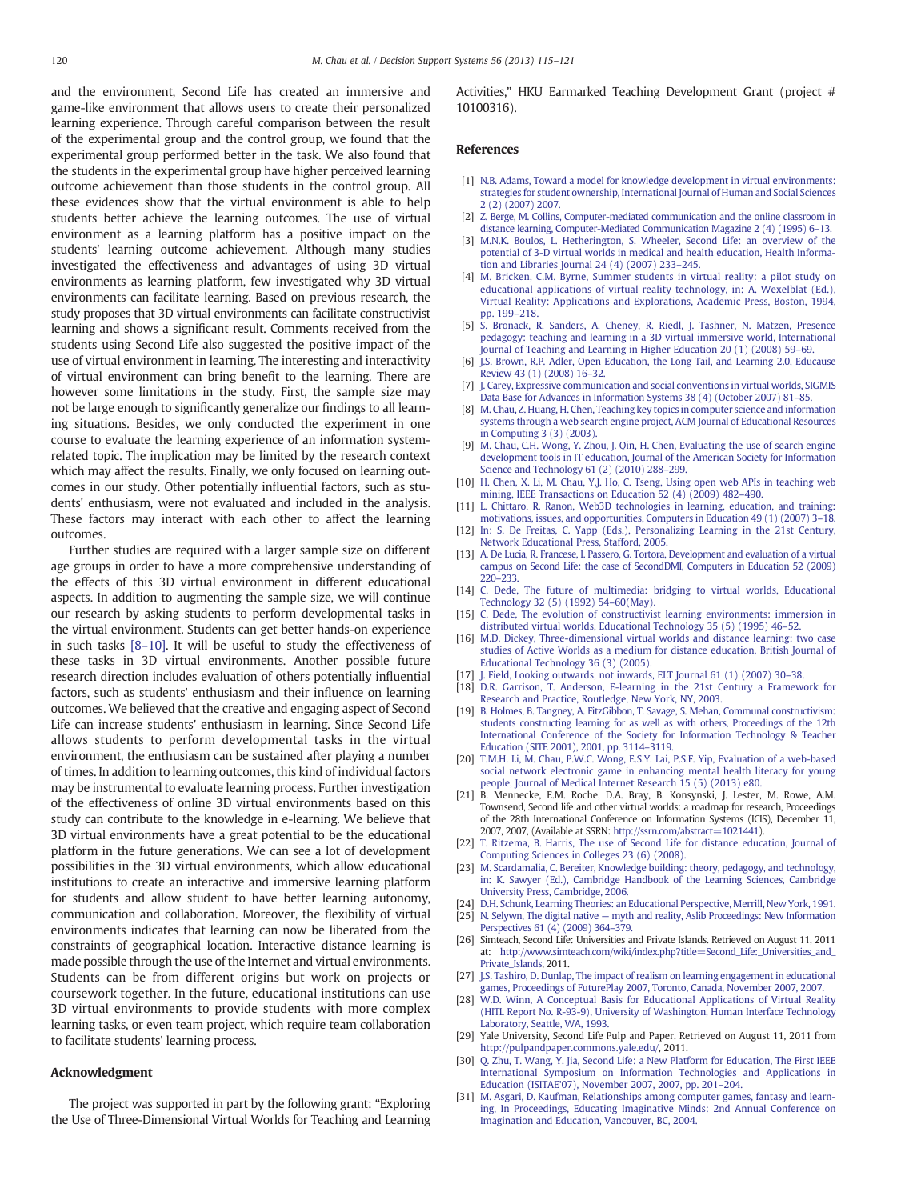<span id="page-5-0"></span>and the environment, Second Life has created an immersive and game-like environment that allows users to create their personalized learning experience. Through careful comparison between the result of the experimental group and the control group, we found that the experimental group performed better in the task. We also found that the students in the experimental group have higher perceived learning outcome achievement than those students in the control group. All these evidences show that the virtual environment is able to help students better achieve the learning outcomes. The use of virtual environment as a learning platform has a positive impact on the students' learning outcome achievement. Although many studies investigated the effectiveness and advantages of using 3D virtual environments as learning platform, few investigated why 3D virtual environments can facilitate learning. Based on previous research, the study proposes that 3D virtual environments can facilitate constructivist learning and shows a significant result. Comments received from the students using Second Life also suggested the positive impact of the use of virtual environment in learning. The interesting and interactivity of virtual environment can bring benefit to the learning. There are however some limitations in the study. First, the sample size may not be large enough to significantly generalize our findings to all learning situations. Besides, we only conducted the experiment in one course to evaluate the learning experience of an information systemrelated topic. The implication may be limited by the research context which may affect the results. Finally, we only focused on learning outcomes in our study. Other potentially influential factors, such as students' enthusiasm, were not evaluated and included in the analysis. These factors may interact with each other to affect the learning outcomes.

Further studies are required with a larger sample size on different age groups in order to have a more comprehensive understanding of the effects of this 3D virtual environment in different educational aspects. In addition to augmenting the sample size, we will continue our research by asking students to perform developmental tasks in the virtual environment. Students can get better hands-on experience in such tasks [8–10]. It will be useful to study the effectiveness of these tasks in 3D virtual environments. Another possible future research direction includes evaluation of others potentially influential factors, such as students' enthusiasm and their influence on learning outcomes. We believed that the creative and engaging aspect of Second Life can increase students' enthusiasm in learning. Since Second Life allows students to perform developmental tasks in the virtual environment, the enthusiasm can be sustained after playing a number of times. In addition to learning outcomes, this kind of individual factors may be instrumental to evaluate learning process. Further investigation of the effectiveness of online 3D virtual environments based on this study can contribute to the knowledge in e-learning. We believe that 3D virtual environments have a great potential to be the educational platform in the future generations. We can see a lot of development possibilities in the 3D virtual environments, which allow educational institutions to create an interactive and immersive learning platform for students and allow student to have better learning autonomy, communication and collaboration. Moreover, the flexibility of virtual environments indicates that learning can now be liberated from the constraints of geographical location. Interactive distance learning is made possible through the use of the Internet and virtual environments. Students can be from different origins but work on projects or coursework together. In the future, educational institutions can use 3D virtual environments to provide students with more complex learning tasks, or even team project, which require team collaboration to facilitate students' learning process.

# Acknowledgment

The project was supported in part by the following grant: "Exploring the Use of Three-Dimensional Virtual Worlds for Teaching and Learning Activities," HKU Earmarked Teaching Development Grant (project # 10100316).

# References

- [1] [N.B. Adams, Toward a model for knowledge development in virtual environments:](http://refhub.elsevier.com/S0167-9236(13)00125-5/rf0005) [strategies for student ownership, International Journal of Human and Social Sciences](http://refhub.elsevier.com/S0167-9236(13)00125-5/rf0005) [2 \(2\) \(2007\) 2007](http://refhub.elsevier.com/S0167-9236(13)00125-5/rf0005).
- [2] [Z. Berge, M. Collins, Computer-mediated communication and the online classroom in](http://refhub.elsevier.com/S0167-9236(13)00125-5/rf0010) [distance learning, Computer-Mediated Communication Magazine 2 \(4\) \(1995\) 6](http://refhub.elsevier.com/S0167-9236(13)00125-5/rf0010)–13.
- [3] [M.N.K. Boulos, L. Hetherington, S. Wheeler, Second Life: an overview of the](http://refhub.elsevier.com/S0167-9236(13)00125-5/rf0015) [potential of 3-D virtual worlds in medical and health education, Health Informa](http://refhub.elsevier.com/S0167-9236(13)00125-5/rf0015)[tion and Libraries Journal 24 \(4\) \(2007\) 233](http://refhub.elsevier.com/S0167-9236(13)00125-5/rf0015)–245.
- [4] [M. Bricken, C.M. Byrne, Summer students in virtual reality: a pilot study on](http://refhub.elsevier.com/S0167-9236(13)00125-5/rf0020) [educational applications of virtual reality technology, in: A. Wexelblat \(Ed.\),](http://refhub.elsevier.com/S0167-9236(13)00125-5/rf0020) [Virtual Reality: Applications and Explorations, Academic Press, Boston, 1994,](http://refhub.elsevier.com/S0167-9236(13)00125-5/rf0020)
- [pp. 199](http://refhub.elsevier.com/S0167-9236(13)00125-5/rf0020)–218. [5] [S. Bronack, R. Sanders, A. Cheney, R. Riedl, J. Tashner, N. Matzen, Presence](http://refhub.elsevier.com/S0167-9236(13)00125-5/rf0025) [pedagogy: teaching and learning in a 3D virtual immersive world, International](http://refhub.elsevier.com/S0167-9236(13)00125-5/rf0025) [Journal of Teaching and Learning in Higher Education 20 \(1\) \(2008\) 59](http://refhub.elsevier.com/S0167-9236(13)00125-5/rf0025)–69.
- [6] [J.S. Brown, R.P. Adler, Open Education, the Long Tail, and Learning 2.0, Educause](http://refhub.elsevier.com/S0167-9236(13)00125-5/rf0030) [Review 43 \(1\) \(2008\) 16](http://refhub.elsevier.com/S0167-9236(13)00125-5/rf0030)–32.
- [7] [J. Carey, Expressive communication and social conventions in virtual worlds, SIGMIS](http://refhub.elsevier.com/S0167-9236(13)00125-5/rf0125) [Data Base for Advances in Information Systems 38 \(4\) \(October 2007\) 81](http://refhub.elsevier.com/S0167-9236(13)00125-5/rf0125)–85.
- [8] [M. Chau, Z. Huang, H. Chen, Teaching key topics in computer science and information](http://refhub.elsevier.com/S0167-9236(13)00125-5/rf0130) [systems through a web search engine project, ACM Journal of Educational Resources](http://refhub.elsevier.com/S0167-9236(13)00125-5/rf0130) [in Computing 3 \(3\) \(2003\).](http://refhub.elsevier.com/S0167-9236(13)00125-5/rf0130)
- [9] [M. Chau, C.H. Wong, Y. Zhou, J. Qin, H. Chen, Evaluating the use of search engine](http://refhub.elsevier.com/S0167-9236(13)00125-5/rf0035) [development tools in IT education, Journal of the American Society for Information](http://refhub.elsevier.com/S0167-9236(13)00125-5/rf0035) [Science and Technology 61 \(2\) \(2010\) 288](http://refhub.elsevier.com/S0167-9236(13)00125-5/rf0035)–299.
- [10] [H. Chen, X. Li, M. Chau, Y.J. Ho, C. Tseng, Using open web APIs in teaching web](http://refhub.elsevier.com/S0167-9236(13)00125-5/rf0135) [mining, IEEE Transactions on Education 52 \(4\) \(2009\) 482](http://refhub.elsevier.com/S0167-9236(13)00125-5/rf0135)–490.
- [11] [L. Chittaro, R. Ranon, Web3D technologies in learning, education, and training:](http://refhub.elsevier.com/S0167-9236(13)00125-5/rf0040) [motivations, issues, and opportunities, Computers in Education 49 \(1\) \(2007\) 3](http://refhub.elsevier.com/S0167-9236(13)00125-5/rf0040)–18.
- [12] [In: S. De Freitas, C. Yapp \(Eds.\), Personalizing Learning in the 21st Century,](http://refhub.elsevier.com/S0167-9236(13)00125-5/rf0045) [Network Educational Press, Stafford, 2005](http://refhub.elsevier.com/S0167-9236(13)00125-5/rf0045).
- [13] [A. De Lucia, R. Francese, I. Passero, G. Tortora, Development and evaluation of a virtual](http://refhub.elsevier.com/S0167-9236(13)00125-5/rf0050) [campus on Second Life: the case of SecondDMI, Computers in Education 52 \(2009\)](http://refhub.elsevier.com/S0167-9236(13)00125-5/rf0050) 220–[233.](http://refhub.elsevier.com/S0167-9236(13)00125-5/rf0050)
- [14] [C. Dede, The future of multimedia: bridging to virtual worlds, Educational](http://refhub.elsevier.com/S0167-9236(13)00125-5/rf0140) [Technology 32 \(5\) \(1992\) 54](http://refhub.elsevier.com/S0167-9236(13)00125-5/rf0140)–60(May).
- [15] [C. Dede, The evolution of constructivist learning environments: immersion in](http://refhub.elsevier.com/S0167-9236(13)00125-5/rf0060) [distributed virtual worlds, Educational Technology 35 \(5\) \(1995\) 46](http://refhub.elsevier.com/S0167-9236(13)00125-5/rf0060)–52.
- [16] [M.D. Dickey, Three-dimensional virtual worlds and distance learning: two case](http://refhub.elsevier.com/S0167-9236(13)00125-5/rf0065) [studies of Active Worlds as a medium for distance education, British Journal of](http://refhub.elsevier.com/S0167-9236(13)00125-5/rf0065) [Educational Technology 36 \(3\) \(2005\).](http://refhub.elsevier.com/S0167-9236(13)00125-5/rf0065)
- [J. Field, Looking outwards, not inwards, ELT Journal 61 \(1\) \(2007\) 30](http://refhub.elsevier.com/S0167-9236(13)00125-5/rf0070)-38.
- [18] [D.R. Garrison, T. Anderson, E-learning in the 21st Century a Framework for](http://refhub.elsevier.com/S0167-9236(13)00125-5/rf0075) [Research and Practice, Routledge, New York, NY, 2003](http://refhub.elsevier.com/S0167-9236(13)00125-5/rf0075).
- [19] [B. Holmes, B. Tangney, A. FitzGibbon, T. Savage, S. Mehan, Communal constructivism:](http://refhub.elsevier.com/S0167-9236(13)00125-5/rf0085) [students constructing learning for as well as with others, Proceedings of the 12th](http://refhub.elsevier.com/S0167-9236(13)00125-5/rf0085) [International Conference of the Society for Information Technology & Teacher](http://refhub.elsevier.com/S0167-9236(13)00125-5/rf0085) [Education \(SITE 2001\), 2001, pp. 3114](http://refhub.elsevier.com/S0167-9236(13)00125-5/rf0085)–3119.
- [20] [T.M.H. Li, M. Chau, P.W.C. Wong, E.S.Y. Lai, P.S.F. Yip, Evaluation of a web-based](http://refhub.elsevier.com/S0167-9236(13)00125-5/rf0090) [social network electronic game in enhancing mental health literacy for young](http://refhub.elsevier.com/S0167-9236(13)00125-5/rf0090) [people, Journal of Medical Internet Research 15 \(5\) \(2013\) e80](http://refhub.elsevier.com/S0167-9236(13)00125-5/rf0090).
- [21] B. Mennecke, E.M. Roche, D.A. Bray, B. Konsynski, J. Lester, M. Rowe, A.M. Townsend, Second life and other virtual worlds: a roadmap for research, Proceedings of the 28th International Conference on Information Systems (ICIS), December 11, 2007, 2007, (Available at SSRN: [http://ssrn.com/abstract=1021441\)](http://ssrn.com/abstract).
- [22] [T. Ritzema, B. Harris, The use of Second Life for distance education, Journal of](http://refhub.elsevier.com/S0167-9236(13)00125-5/rf0095) [Computing Sciences in Colleges 23 \(6\) \(2008\)](http://refhub.elsevier.com/S0167-9236(13)00125-5/rf0095).
- [23] [M. Scardamalia, C. Bereiter, Knowledge building: theory, pedagogy, and technology,](http://refhub.elsevier.com/S0167-9236(13)00125-5/rf0100) [in: K. Sawyer \(Ed.\), Cambridge Handbook of the Learning Sciences, Cambridge](http://refhub.elsevier.com/S0167-9236(13)00125-5/rf0100) [University Press, Cambridge, 2006](http://refhub.elsevier.com/S0167-9236(13)00125-5/rf0100).
- [24] [D.H. Schunk, Learning Theories: an Educational Perspective, Merrill, New York, 1991](http://refhub.elsevier.com/S0167-9236(13)00125-5/rf0105). N. Selywn, The digital native — [myth and reality, Aslib Proceedings: New Information](http://refhub.elsevier.com/S0167-9236(13)00125-5/rf0110)
- [Perspectives 61 \(4\) \(2009\) 364](http://refhub.elsevier.com/S0167-9236(13)00125-5/rf0110)–379. [26] Simteach, Second Life: Universities and Private Islands. Retrieved on August 11, 2011 at: [http://www.simteach.com/wiki/index.php?title=Second\\_Life:\\_Universities\\_and\\_](http://www.simteach.com/wiki/index.php?title=Second_Life:_Universities_and_Private_Islands) [Private\\_Islands](http://www.simteach.com/wiki/index.php?title=Second_Life:_Universities_and_Private_Islands), 2011.
- [27] [J.S. Tashiro, D. Dunlap, The impact of realism on learning engagement in educational](http://refhub.elsevier.com/S0167-9236(13)00125-5/rf0165) [games, Proceedings of FuturePlay 2007, Toronto, Canada, November 2007, 2007.](http://refhub.elsevier.com/S0167-9236(13)00125-5/rf0165)
- [28] [W.D. Winn, A Conceptual Basis for Educational Applications of Virtual Reality](http://refhub.elsevier.com/S0167-9236(13)00125-5/rf0170) [\(HITL Report No. R-93-9\), University of Washington, Human Interface Technology](http://refhub.elsevier.com/S0167-9236(13)00125-5/rf0170) [Laboratory, Seattle, WA, 1993](http://refhub.elsevier.com/S0167-9236(13)00125-5/rf0170).
- [29] Yale University, Second Life Pulp and Paper. Retrieved on August 11, 2011 from [http://pulpandpaper.commons.yale.edu/,](http://pulpandpaper.commons.yale.edu/) 2011.
- [30] [Q. Zhu, T. Wang, Y. Jia, Second Life: a New Platform for Education, The First IEEE](http://refhub.elsevier.com/S0167-9236(13)00125-5/rf0180) [International Symposium on Information Technologies and Applications in](http://refhub.elsevier.com/S0167-9236(13)00125-5/rf0180) [Education \(ISITAE'07\), November 2007, 2007, pp. 201](http://refhub.elsevier.com/S0167-9236(13)00125-5/rf0180)–204.
- [31] [M. Asgari, D. Kaufman, Relationships among computer games, fantasy and learn](http://refhub.elsevier.com/S0167-9236(13)00125-5/rf9000)[ing, In Proceedings, Educating Imaginative Minds: 2nd Annual Conference on](http://refhub.elsevier.com/S0167-9236(13)00125-5/rf9000) [Imagination and Education, Vancouver, BC, 2004.](http://refhub.elsevier.com/S0167-9236(13)00125-5/rf9000)